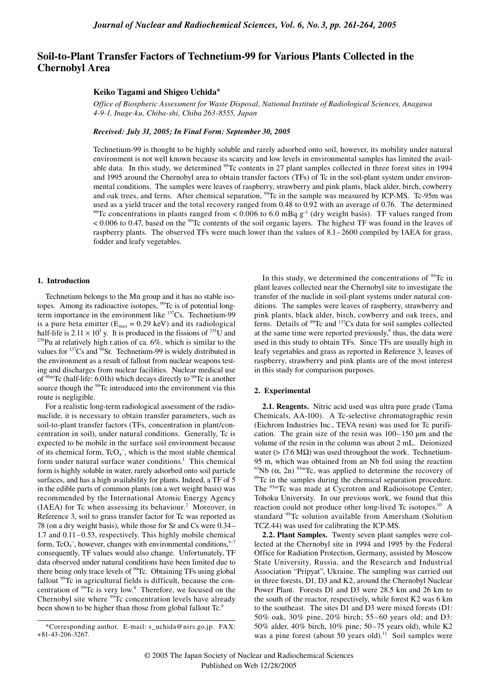# **Soil-to-Plant Transfer Factors of Technetium-99 for Various Plants Collected in the Chernobyl Area**

### **Keiko Tagami and Shigeo Uchida\***

*Office of Biospheric Assessment for Waste Disposal, National Institute of Radiological Sciences, Anagawa 4-9-1, Inage-ku, Chiba-shi, Chiba 263-8555, Japan*

### *Received: July 31, 2005; In Final Form: September 30, 2005*

Technetium-99 is thought to be highly soluble and rarely adsorbed onto soil, however, its mobility under natural environment is not well known because its scarcity and low levels in environmental samples has limited the available data. In this study, we determined <sup>99</sup>Tc contents in 27 plant samples collected in three forest sites in 1994 and 1995 around the Chernobyl area to obtain transfer factors (TFs) of Tc in the soil-plant system under environmental conditions. The samples were leaves of raspberry, strawberry and pink plants, black alder, birch, cowberry and oak trees, and ferns. After chemical separation, <sup>99</sup>Tc in the sample was measured by ICP-MS. Tc-95m was used as a yield tracer and the total recovery ranged from 0.48 to 0.92 with an average of 0.76. The determined <sup>99</sup>Tc concentrations in plants ranged from < 0.006 to 6.0 mBq  $g^{-1}$  (dry weight basis). TF values ranged from  $< 0.006$  to 0.47, based on the <sup>99</sup>Tc contents of the soil organic layers. The highest TF was found in the leaves of raspberry plants. The observed TFs were much lower than the values of 8.1–2600 compiled by IAEA for grass, fodder and leafy vegetables.

#### **1. Introduction**

Technetium belongs to the Mn group and it has no stable isotopes. Among its radioactive isotopes, <sup>99</sup>Tc is of potential longterm importance in the environment like  $137Cs$ . Technetium-99 is a pure beta emitter ( $E_{\text{max}} = 0.29 \text{ keV}$ ) and its radiological half-life is  $2.11 \times 10^5$  y. It is produced in the fissions of <sup>235</sup>U and <sup>239</sup>Pu at relatively high r.atios of ca. 6%, which is similar to the values for  $137$ Cs and  $90$ Sr. Technetium-99 is widely distributed in the environment as a result of fallout from nuclear weapons testing and discharges from nuclear facilities. Nuclear medical use of  $99m$ Tc (half-life: 6.01h) which decays directly to  $99Tc$  is another source though the <sup>99</sup>Tc introduced into the environment via this route is negligible.

For a realistic long-term radiological assessment of the radionuclide, it is necessary to obtain transfer parameters, such as soil-to-plant transfer factors (TFs, concentration in plant/concentration in soil), under natural conditions. Generally, Tc is expected to be mobile in the surface soil environment because of its chemical form,  $TcO<sub>4</sub>$ , which is the most stable chemical form under natural surface water conditions.<sup>1</sup> This chemical form is highly soluble in water, rarely adsorbed onto soil particle surfaces, and has a high availability for plants. Indeed, a TF of 5 in the edible parts of common plants (on a wet weight basis) was recommended by the International Atomic Energy Agency  $(IAEA)$  for Tc when assessing its behaviour.<sup>2</sup> Moreover, in Reference 3, soil to grass transfer factor for Tc was reported as 78 (on a dry weight basis), while those for Sr and Cs were 0.34– 1.7 and 0.11–0.53, respectively. This highly mobile chemical form,  $TcO<sub>4</sub>^-$ , however, changes with environmental conditions,<sup>4-7</sup> consequently, TF values would also change. Unfortunately, TF data observed under natural conditions have been limited due to there being only trace levels of <sup>99</sup>Tc. Obtaining TFs using global fallout <sup>99</sup>Tc in agricultural fields is difficult, because the concentration of  $99$ Tc is very low.<sup>8</sup> Therefore, we focused on the Chernobyl site where <sup>99</sup>Tc concentration levels have already been shown to be higher than those from global fallout Tc.<sup>9</sup>

In this study, we determined the concentrations of  $99$ Tc in plant leaves collected near the Chernobyl site to investigate the transfer of the nuclide in soil-plant systems under natural conditions. The samples were leaves of raspberry, strawberry and pink plants, black alder, birch, cowberry and oak trees, and ferns. Details of <sup>99</sup>Tc and <sup>137</sup>Cs data for soil samples collected at the same time were reported previously, $9$  thus, the data were used in this study to obtain TFs. Since TFs are usually high in leafy vegetables and grass as reported in Reference 3, leaves of raspberry, strawberry and pink plants are of the most interest in this study for comparison purposes.

## **2. Experimental**

**2.1. Reagents.** Nitric acid used was ultra pure grade (Tama Chemicals, AA-100). A Tc-selective chromatographic resin (Eichrom Industries Inc., TEVA resin) was used for Tc purification. The grain size of the resin was  $100-150 \mu m$  and the volume of the resin in the column was about 2 mL. Deionized water ( $> 17.6$  M $\Omega$ ) was used throughout the work. Technetium-95 m, which was obtained from an Nb foil using the reaction <sup>93</sup>Nb ( $\alpha$ , 2n) <sup>95m</sup>Tc, was applied to determine the recovery of <sup>99</sup>Tc in the samples during the chemical separation procedure. The 95mTc was made at Cycrotron and Radioisotope Center, Tohoku University. In our previous work, we found that this reaction could not produce other long-lived Tc isotopes.<sup>10</sup> A standard <sup>99</sup>Tc solution available from Amersham (Solution TCZ.44) was used for calibrating the ICP-MS.

**2.2. Plant Samples.** Twenty seven plant samples were collected at the Chernobyl site in 1994 and 1995 by the Federal Office for Radiation Protection, Germany, assisted by Moscow State University, Russia, and the Research and Industrial Association "Pripyat", Ukraine. The sampling was carried out in three forests, D1, D3 and K2, around the Chernobyl Nuclear Power Plant. Forests D1 and D3 were 28.5 km and 26 km to the south of the reactor, respectively, while forest K2 was 6 km to the southeast. The sites D1 and D3 were mixed forests (D1: 50% oak, 30% pine, 20% birch; 55–60 years old; and D3: 50% alder, 40% birch, 10% pine; 50–75 years old), while K2 was a pine forest (about 50 years old).<sup>11</sup> Soil samples were

<sup>\*</sup>Corresponding author. E-mail: s\_uchida@nirs.go.jp. FAX: +81-43-206-3267.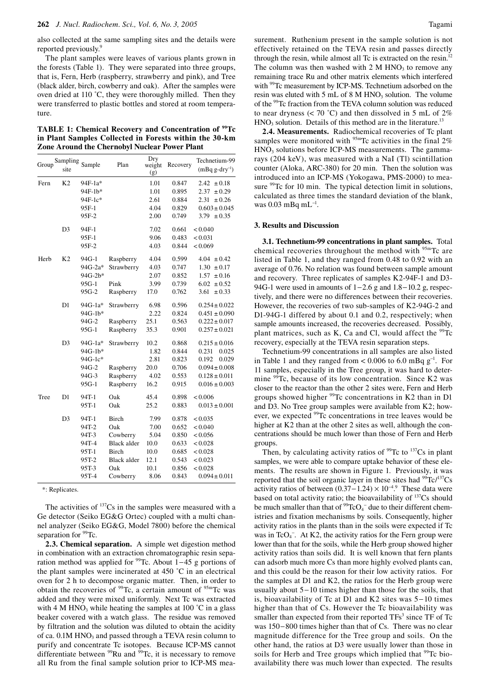also collected at the same sampling sites and the details were reported previously.<sup>9</sup>

The plant samples were leaves of various plants grown in the forests (Table 1). They were separated into three groups, that is, Fern, Herb (raspberry, strawberry and pink), and Tree (black alder, birch, cowberry and oak). After the samples were oven dried at 110 °C, they were thoroughly milled. Then they were transferred to plastic bottles and stored at room temperature.

**TABLE 1: Chemical Recovery and Concentration of 99Tc in Plant Samples Collected in Forests within the 30-km Zone Around the Chernobyl Nuclear Power Plant**

| Group | Sampling<br>site | Sample  | Plan               | Dry<br>weight<br>(g) | Recovery | Technetium-99<br>$(mBq g-dry^{-1})$ |
|-------|------------------|---------|--------------------|----------------------|----------|-------------------------------------|
| Fern  | K <sub>2</sub>   | 94F-1a* |                    | 1.01                 | 0.847    | 2.42<br>$\pm 0.18$                  |
|       |                  | 94F-1b* |                    | 1.01                 | 0.895    | 2.37<br>± 0.29                      |
|       |                  | 94F-1c* |                    | 2.61                 | 0.884    | 2.31<br>± 0.26                      |
|       |                  | 95F-1   |                    | 4.04                 | 0.829    | $0.603 \pm 0.045$                   |
|       |                  | 95F-2   |                    | 2.00                 | 0.749    | 3.79 $\pm 0.35$                     |
|       | D <sub>3</sub>   | 94F-1   |                    | 7.02                 | 0.661    | < 0.040                             |
|       |                  | 95F-1   |                    | 9.06                 | 0.483    | < 0.031                             |
|       |                  | 95F-2   |                    | 4.03                 | 0.844    | < 0.069                             |
| Herb  | K <sub>2</sub>   | 94G-1   | Raspberry          | 4.04                 | 0.599    | $4.04 \pm 0.42$                     |
|       |                  | 94G-2a* | Strawberry         | 4.03                 | 0.747    | 1.30<br>$\pm 0.17$                  |
|       |                  | 94G-2b* |                    | 2.07                 | 0.852    | 1.57<br>± 0.16                      |
|       |                  | 95G-1   | Pink               | 3.99                 | 0.739    | 6.02<br>$\pm 0.52$                  |
|       |                  | 95G-2   | Raspberry          | 17.0                 | 0.762    | 3.61<br>$\pm 0.33$                  |
|       | D1               | 94G-1a* | Strawberry         | 6.98                 | 0.596    | $0.254 \pm 0.022$                   |
|       |                  | 94G-1b* |                    | 2.22                 | 0.824    | $0.451 \pm 0.090$                   |
|       |                  | 94G-2   | Raspberry          | 25.1                 | 0.563    | $0.222 \pm 0.017$                   |
|       |                  | 95G-1   | Raspberry          | 35.3                 | 0.901    | $0.257 \pm 0.021$                   |
|       | D <sub>3</sub>   | 94G-1a* | Strawberry         | 10.2                 | 0.868    | $0.215 \pm 0.016$                   |
|       |                  | 94G-1b* |                    | 1.82                 | 0.844    | 0.231<br>0.025                      |
|       |                  | 94G-1c* |                    | 2.81                 | 0.823    | 0.192<br>0.029                      |
|       |                  | 94G-2   | Raspberry          | 20.0                 | 0.706    | $0.094 \pm 0.008$                   |
|       |                  | 94G-3   | Raspberry          | 4.02                 | 0.553    | $0.128 \pm 0.011$                   |
|       |                  | 95G-1   | Raspberry          | 16.2                 | 0.915    | $0.016 \pm 0.003$                   |
| Tree  | D1               | 94T-1   | Oak                | 45.4                 | 0.898    | < 0.006                             |
|       |                  | 95T-1   | Oak                | 25.2                 | 0.883    | $0.013 \pm 0.001$                   |
|       | D <sub>3</sub>   | 94T-1   | Birch              | 7.99                 | 0.878    | < 0.035                             |
|       |                  | 94T-2   | Oak                | 7.00                 | 0.652    | < 0.040                             |
|       |                  | 94T-3   | Cowberry           | 5.04                 | 0.850    | < 0.056                             |
|       |                  | 94T-4   | <b>Black</b> alder | 10.0                 | 0.633    | < 0.028                             |
|       |                  | 95T-1   | Birch              | 10.0                 | 0.685    | < 0.028                             |
|       |                  | 95T-2   | <b>Black alder</b> | 12.1                 | 0.543    | < 0.023                             |
|       |                  | 95T-3   | Oak                | 10.1                 | 0.856    | < 0.028                             |
|       |                  | 95T-4   | Cowberry           | 8.06                 | 0.843    | $0.094 \pm 0.011$                   |

\*: Replicates.

The activities of  $137Cs$  in the samples were measured with a Ge detector (Seiko EG&G Ortec) coupled with a multi channel analyzer (Seiko EG&G, Model 7800) before the chemical separation for <sup>99</sup>Tc.

**2.3. Chemical separation.** A simple wet digestion method in combination with an extraction chromatographic resin separation method was applied for  $\frac{99}{2}$ C. About 1–45 g portions of the plant samples were incinerated at 450 ˚C in an electrical oven for 2 h to decompose organic matter. Then, in order to obtain the recoveries of  $99$ Tc, a certain amount of  $95m$ Tc was added and they were mixed uniformly. Next Tc was extracted with 4 M HNO<sub>3</sub> while heating the samples at 100  $^{\circ}$ C in a glass beaker covered with a watch glass. The residue was removed by filtration and the solution was diluted to obtain the acidity of ca. 0.1M HNO<sub>3</sub> and passed through a TEVA resin column to purify and concentrate Tc isotopes. Because ICP-MS cannot differentiate between  $99Ru$  and  $99Tc$ , it is necessary to remove all Ru from the final sample solution prior to ICP-MS measurement. Ruthenium present in the sample solution is not effectively retained on the TEVA resin and passes directly through the resin, while almost all Tc is extracted on the resin.<sup>12</sup> The column was then washed with  $2 M HNO<sub>3</sub>$  to remove any remaining trace Ru and other matrix elements which interfered with <sup>99</sup>Tc measurement by ICP-MS. Technetium adsorbed on the resin was eluted with  $5 \text{ mL of } 8 \text{ M HNO}_3$  solution. The volume of the 99Tc fraction from the TEVA column solution was reduced to near dryness  $(< 70 °C)$  and then dissolved in 5 mL of 2%  $HNO<sub>3</sub>$  solution. Details of this method are in the literature.<sup>13</sup>

**2.4. Measurements.** Radiochemical recoveries of Tc plant samples were monitored with  $95m$ Tc activities in the final 2%  $HNO<sub>3</sub>$  solutions before ICP-MS measurements. The gammarays (204 keV), was measured with a NaI (Tl) scintillation counter (Aloka, ARC-380) for 20 min. Then the solution was introduced into an ICP-MS (Yokogawa, PMS-2000) to measure <sup>99</sup>Tc for 10 min. The typical detection limit in solutions, calculated as three times the standard deviation of the blank, was 0.03 mBq mL<sup>-1</sup>.

#### **3. Results and Discussion**

**3.1. Technetium-99 concentrations in plant samples.** Total chemical recoveries throughout the method with  $95mTc$  are listed in Table 1, and they ranged from 0.48 to 0.92 with an average of 0.76. No relation was found between sample amount and recovery. Three replicates of samples K2-94F-1 and D3- 94G-1 were used in amounts of 1–2.6 g and 1.8–10.2 g, respectively, and there were no differences between their recoveries. However, the recoveries of two sub-samples of K2-94G-2 and D1-94G-1 differed by about 0.1 and 0.2, respectively; when sample amounts increased, the recoveries decreased. Possibly, plant matrices, such as K, Ca and Cl, would affect the  $99Tc$ recovery, especially at the TEVA resin separation steps.

Technetium-99 concentrations in all samples are also listed in Table 1 and they ranged from <  $0.006$  to  $6.0$  mBq  $g^{-1}$ . For 11 samples, especially in the Tree group, it was hard to determine <sup>99</sup>Tc, because of its low concentration. Since K2 was closer to the reactor than the other 2 sites were, Fern and Herb groups showed higher <sup>99</sup>Tc concentrations in K2 than in D1 and D3. No Tree group samples were available from K2; however, we expected <sup>99</sup>Tc concentrations in tree leaves would be higher at K2 than at the other 2 sites as well, although the concentrations should be much lower than those of Fern and Herb groups.

Then, by calculating activity ratios of  $99$ Tc to  $137$ Cs in plant samples, we were able to compare uptake behavior of these elements. The results are shown in Figure 1. Previously, it was reported that the soil organic layer in these sites had  $\rm{^{99}Tc/^{137}Cs}$ activity ratios of between  $(0.37-1.24) \times 10^{-4.9}$  These data were based on total activity ratio; the bioavailability of <sup>137</sup>Cs should be much smaller than that of  $\rm{^{99}TcO_4}^-$  due to their different chemistries and fixation mechanisms by soils. Consequently, higher activity ratios in the plants than in the soils were expected if Tc was in TcO<sub>4</sub><sup>-</sup>. At K2, the activity ratios for the Fern group were lower than that for the soils, while the Herb group showed higher activity ratios than soils did. It is well known that fern plants can adsorb much more Cs than more highly evolved plants can, and this could be the reason for their low activity ratios. For the samples at D1 and K2, the ratios for the Herb group were usually about 5−10 times higher than those for the soils, that is, bioavailability of Tc at D1 and K2 sites was 5−10 times higher than that of Cs. However the Tc bioavailability was smaller than expected from their reported  $TFs<sup>3</sup>$  since  $TF$  of  $Tc$ was 150−800 times higher than that of Cs. There was no clear magnitude difference for the Tree group and soils. On the other hand, the ratios at D3 were usually lower than those in soils for Herb and Tree groups which implied that <sup>99</sup>Tc bioavailability there was much lower than expected. The results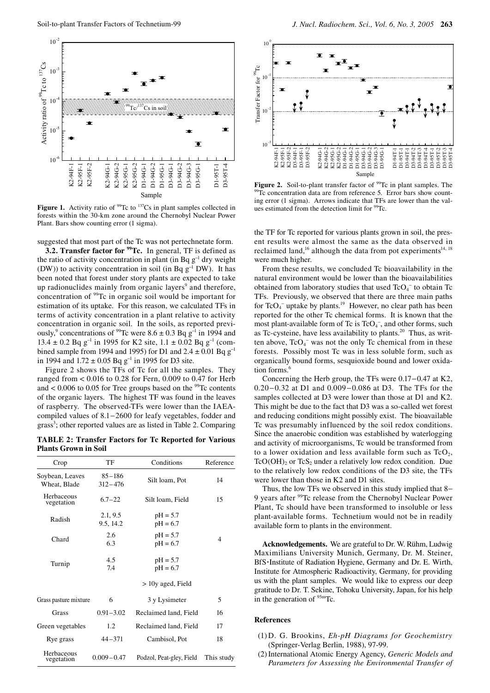

**Figure 1.** Activity ratio of  $99$ Tc to  $137$ Cs in plant samples collected in forests within the 30-km zone around the Chernobyl Nuclear Power Plant. Bars show counting error (1 sigma).

suggested that most part of the Tc was not pertechnetate form.

**3.2. Transfer factor for <sup>99</sup>Tc.** In general, TF is defined as the ratio of activity concentration in plant (in Bq  $g^{-1}$  dry weight (DW)) to activity concentration in soil (in Bq  $g^{-1}$  DW). It has been noted that forest under story plants are expected to take up radionuclides mainly from organic layers<sup>9</sup> and therefore, concentration of 99Tc in organic soil would be important for estimation of its uptake. For this reason, we calculated TFs in terms of activity concentration in a plant relative to activity concentration in organic soil. In the soils, as reported previously,<sup>9</sup> concentrations of <sup>99</sup>Tc were  $8.6 \pm 0.3$  Bq g<sup>-1</sup> in 1994 and 13.4 ± 0.2 Bq g<sup>-1</sup> in 1995 for K2 site,  $1.1 \pm 0.02$  Bq g<sup>-1</sup> (combined sample from 1994 and 1995) for D1 and  $2.4 \pm 0.01$  Bq  $g^{-1}$ in 1994 and  $1.72 \pm 0.05$  Bq g<sup>-1</sup> in 1995 for D3 site.

Figure 2 shows the TFs of Tc for all the samples. They ranged from < 0.016 to 0.28 for Fern, 0.009 to 0.47 for Herb and  $< 0.006$  to 0.05 for Tree groups based on the <sup>99</sup>Tc contents of the organic layers. The highest TF was found in the leaves of raspberry. The observed-TFs were lower than the IAEAcompiled values of 8.1−2600 for leafy vegetables, fodder and grass<sup>3</sup>; other reported values are as listed in Table 2. Comparing

**TABLE 2: Transfer Factors for Tc Reported for Various Plants Grown in Soil**

| Crop                            | TF                        | Conditions               | Reference  |
|---------------------------------|---------------------------|--------------------------|------------|
| Soybean, Leaves<br>Wheat, Blade | $85 - 186$<br>$312 - 476$ | Silt loam, Pot           | 14         |
| Herbaceous<br>vegetation        | $6.7 - 22$                | Silt loam, Field         | 15         |
| Radish                          | 2.1, 9.5<br>9.5, 14.2     | $pH = 5.7$<br>$pH = 6.7$ |            |
| Chard                           | 2.6<br>6.3                | $pH = 5.7$<br>$pH = 6.7$ | 4          |
| Turnip                          | 4.5<br>7.4                | $pH = 5.7$<br>$pH = 6.7$ |            |
|                                 |                           | > 10y aged, Field        |            |
| Grass pasture mixture           | 6                         | 3 y Lysimeter            | 5          |
| Grass                           | $0.91 - 3.02$             | Reclaimed land, Field    | 16         |
| Green vegetables                | 1.2                       | Reclaimed land, Field    | 17         |
| Rye grass                       | $44 - 371$                | Cambisol, Pot            | 18         |
| Herbaceous<br>vegetation        | $0.009 - 0.47$            | Podzol, Peat-gley, Field | This study |



**Figure 2.** Soil-to-plant transfer factor of <sup>99</sup>Tc in plant samples. The <sup>99</sup>Tc concentration data are from reference 5. Error bars show counting error (1 sigma). Arrows indicate that TFs are lower than the values estimated from the detection limit for <sup>99</sup>Tc.

the TF for Tc reported for various plants grown in soil, the present results were almost the same as the data observed in reclaimed land,<sup>16</sup> although the data from pot experiments<sup>14, 18</sup> were much higher.

From these results, we concluded Tc bioavailability in the natural environment would be lower than the bioavailabilities obtained from laboratory studies that used TcO<sub>4</sub><sup>-</sup> to obtain Tc TFs. Previously, we observed that there are three main paths for  $TcO<sub>4</sub>^-$  uptake by plants.<sup>19</sup> However, no clear path has been reported for the other Tc chemical forms. It is known that the most plant-available form of Tc is  $TcO<sub>4</sub>^-$ , and other forms, such as Tc-cysteine, have less availability to plants.20 Thus, as written above,  $TcO<sub>4</sub>$  was not the only Tc chemical from in these forests. Possibly most Tc was in less soluble form, such as organically bound forms, sesquioxide bound and lower oxidation forms. $<sup>6</sup>$ </sup>

Concerning the Herb group, the TFs were 0.17−0.47 at K2, 0.20−0.32 at D1 and 0.009−0.086 at D3. The TFs for the samples collected at D3 were lower than those at D1 and K2. This might be due to the fact that D3 was a so-called wet forest and reducing conditions might possibly exist. The bioavailable Tc was presumably influenced by the soil redox conditions. Since the anaerobic condition was established by waterlogging and activity of microorganisms, Tc would be transformed from to a lower oxidation and less available form such as  $TcO<sub>2</sub>$ ,  $TcO(OH)$ <sub>2</sub> or  $TcS_2$  under a relatively low redox condition. Due to the relatively low redox conditions of the D3 site, the TFs were lower than those in K2 and D1 sites.

Thus, the low TFs we observed in this study implied that 8− 9 years after <sup>99</sup>Tc release from the Chernobyl Nuclear Power Plant, Tc should have been transformed to insoluble or less plant-available forms. Technetium would not be in readily available form to plants in the environment.

**Acknowledgements.** We are grateful to Dr. W. Rühm, Ludwig Maximilians University Munich, Germany, Dr. M. Steiner, BfS**·**Institute of Radiation Hygiene, Germany and Dr. E. Wirth, Institute for Atmospheric Radioactivity, Germany, for providing us with the plant samples. We would like to express our deep gratitude to Dr. T. Sekine, Tohoku University, Japan, for his help in the generation of  $95m$ Tc.

# **References**

- (1) D. G. Brookins, *Eh-pH Diagrams for Geochemistry*  (Springer-Verlag Berlin, 1988), 97-99.
- (2) International Atomic Energy Agency, *Generic Models and Parameters for Assessing the Environmental Transfer of*